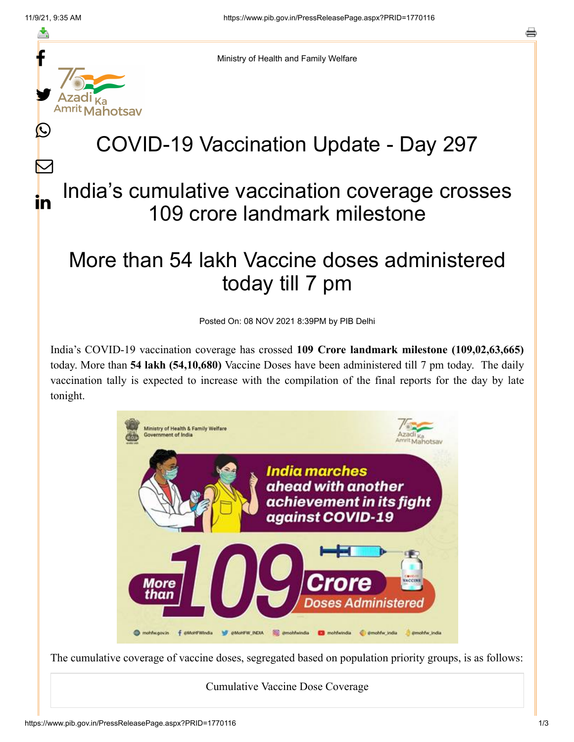≛

<u>IL</u>

 $\bm{\nabla}$ 

in



Ministry of Health and Family Welfare

## COVID-19 Vaccination Update - Day 297

## India's cumulative vaccination coverage crosses 109 crore landmark milestone

## More than 54 lakh Vaccine doses administered today till 7 pm

Posted On: 08 NOV 2021 8:39PM by PIB Delhi

India's COVID-19 vaccination coverage has crossed **109 Crore landmark milestone (109,02,63,665)** today. More than **54 lakh (54,10,680)** Vaccine Doses have been administered till 7 pm today. The daily vaccination tally is expected to increase with the compilation of the final reports for the day by late tonight.



The cumulative coverage of vaccine doses, segregated based on population priority groups, is as follows:

## Cumulative Vaccine Dose Coverage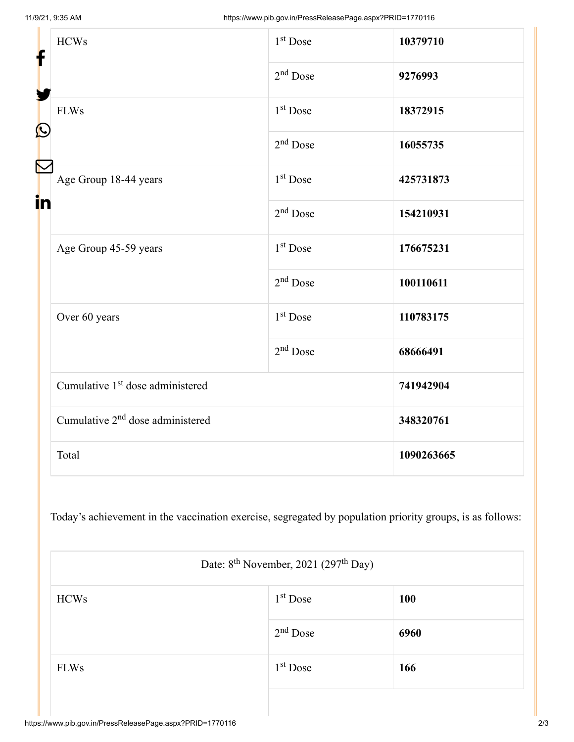| f<br>$\mathbf{\Omega}$ | <b>HCWs</b>                                  | 1 <sup>st</sup> Dose | 10379710   |
|------------------------|----------------------------------------------|----------------------|------------|
|                        |                                              | $2nd$ Dose           | 9276993    |
|                        | <b>FLWs</b>                                  | 1 <sup>st</sup> Dose | 18372915   |
|                        |                                              | $2nd$ Dose           | 16055735   |
| in                     | Age Group 18-44 years                        | $1st$ Dose           | 425731873  |
|                        |                                              | $2nd$ Dose           | 154210931  |
|                        | Age Group 45-59 years                        | 1 <sup>st</sup> Dose | 176675231  |
|                        |                                              | $2nd$ Dose           | 100110611  |
|                        | Over 60 years                                | 1 <sup>st</sup> Dose | 110783175  |
|                        |                                              | $2nd$ Dose           | 68666491   |
|                        | Cumulative 1 <sup>st</sup> dose administered |                      | 741942904  |
|                        | Cumulative 2 <sup>nd</sup> dose administered |                      | 348320761  |
|                        | Total                                        |                      | 1090263665 |

Today's achievement in the vaccination exercise, segregated by population priority groups, is as follows:

|             | Date: $8^{\text{th}}$ November, 2021 (297 <sup>th</sup> Day) |            |  |  |  |
|-------------|--------------------------------------------------------------|------------|--|--|--|
| <b>HCWs</b> | $1st$ Dose                                                   | <b>100</b> |  |  |  |
|             | $2nd$ Dose                                                   | 6960       |  |  |  |
| <b>FLWs</b> | $1st$ Dose                                                   | 166        |  |  |  |
|             |                                                              |            |  |  |  |